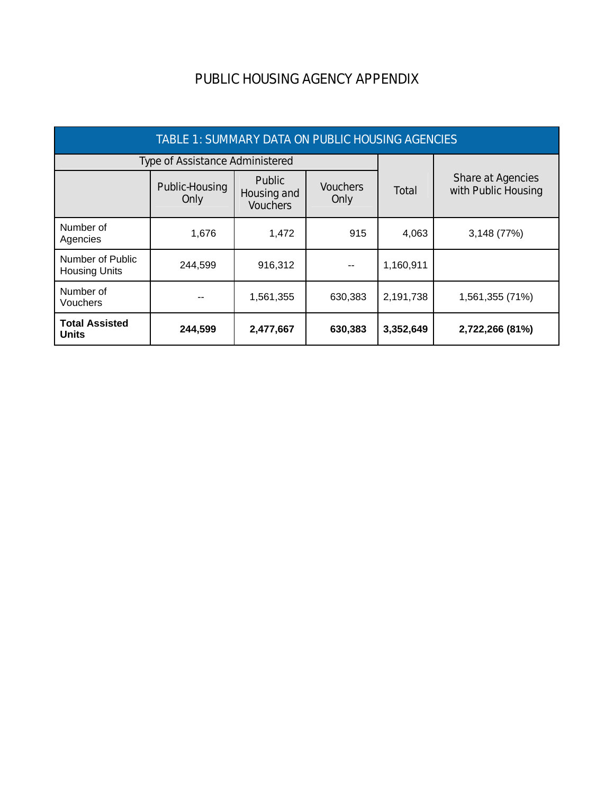## PUBLIC HOUSING AGENCY APPENDIX

| TABLE 1: SUMMARY DATA ON PUBLIC HOUSING AGENCIES |                                        |                                                 |                         |           |                                          |  |
|--------------------------------------------------|----------------------------------------|-------------------------------------------------|-------------------------|-----------|------------------------------------------|--|
|                                                  | <b>Type of Assistance Administered</b> |                                                 |                         |           |                                          |  |
|                                                  | Public-Housing<br>Only                 | <b>Public</b><br>Housing and<br><b>Vouchers</b> | <b>Vouchers</b><br>Only | Total     | Share at Agencies<br>with Public Housing |  |
| Number of<br>Agencies                            | 1,676                                  | 1,472                                           | 915                     | 4,063     | 3,148 (77%)                              |  |
| Number of Public<br><b>Housing Units</b>         | 244,599                                | 916,312                                         |                         | 1,160,911 |                                          |  |
| Number of<br>Vouchers                            |                                        | 1,561,355                                       | 630,383                 | 2,191,738 | 1,561,355 (71%)                          |  |
| <b>Total Assisted</b><br><b>Units</b>            | 244,599                                | 2,477,667                                       | 630,383                 | 3,352,649 | 2,722,266 (81%)                          |  |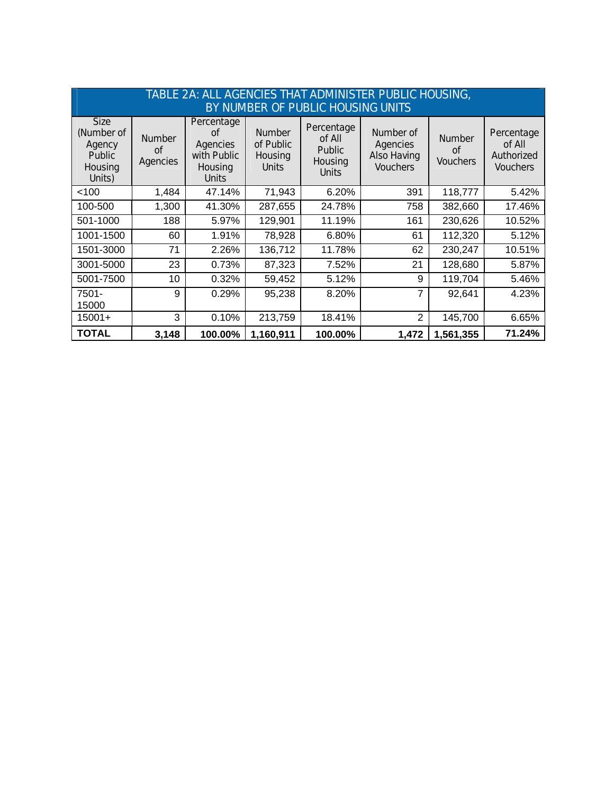| TABLE 2A: ALL AGENCIES THAT ADMINISTER PUBLIC HOUSING,<br>BY NUMBER OF PUBLIC HOUSING UNITS |                                 |                                                                        |                                                       |                                                                  |                                                                |                                        |                                                       |
|---------------------------------------------------------------------------------------------|---------------------------------|------------------------------------------------------------------------|-------------------------------------------------------|------------------------------------------------------------------|----------------------------------------------------------------|----------------------------------------|-------------------------------------------------------|
| <b>Size</b><br>(Number of<br>Agency<br><b>Public</b><br>Housing<br>Units)                   | <b>Number</b><br>Ωf<br>Agencies | Percentage<br>Ωf<br>Agencies<br>with Public<br>Housing<br><b>Units</b> | <b>Number</b><br>of Public<br>Housing<br><b>Units</b> | Percentage<br>of All<br><b>Public</b><br>Housing<br><b>Units</b> | Number of<br>Agencies<br><b>Also Having</b><br><b>Vouchers</b> | <b>Number</b><br>Ωf<br><b>Vouchers</b> | Percentage<br>of All<br>Authorized<br><b>Vouchers</b> |
| < 100                                                                                       | 1,484                           | 47.14%                                                                 | 71,943                                                | 6.20%                                                            | 391                                                            | 118,777                                | 5.42%                                                 |
| 100-500                                                                                     | 1,300                           | 41.30%                                                                 | 287,655                                               | 24.78%                                                           | 758                                                            | 382,660                                | 17.46%                                                |
| 501-1000                                                                                    | 188                             | 5.97%                                                                  | 129,901                                               | 11.19%                                                           | 161                                                            | 230,626                                | 10.52%                                                |
| 1001-1500                                                                                   | 60                              | 1.91%                                                                  | 78,928                                                | 6.80%                                                            | 61                                                             | 112,320                                | 5.12%                                                 |
| 1501-3000                                                                                   | 71                              | 2.26%                                                                  | 136,712                                               | 11.78%                                                           | 62                                                             | 230,247                                | 10.51%                                                |
| 3001-5000                                                                                   | 23                              | 0.73%                                                                  | 87,323                                                | 7.52%                                                            | 21                                                             | 128,680                                | 5.87%                                                 |
| 5001-7500                                                                                   | 10                              | 0.32%                                                                  | 59,452                                                | 5.12%                                                            | 9                                                              | 119,704                                | 5.46%                                                 |
| 7501-<br>15000                                                                              | 9                               | 0.29%                                                                  | 95,238                                                | 8.20%                                                            | 7                                                              | 92,641                                 | 4.23%                                                 |
| $15001+$                                                                                    | 3                               | 0.10%                                                                  | 213,759                                               | 18.41%                                                           | $\overline{2}$                                                 | 145,700                                | 6.65%                                                 |
| <b>TOTAL</b>                                                                                | 3,148                           | 100.00%                                                                | 1,160,911                                             | 100.00%                                                          | 1,472                                                          | 1,561,355                              | 71.24%                                                |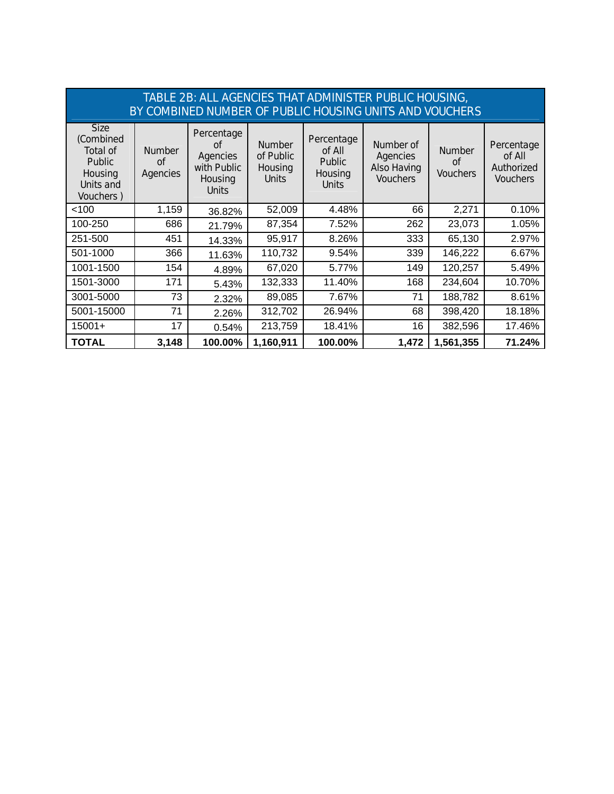| TABLE 2B: ALL AGENCIES THAT ADMINISTER PUBLIC HOUSING,<br>BY COMBINED NUMBER OF PUBLIC HOUSING UNITS AND VOUCHERS |                                 |                                                                               |                                                       |                                                                  |                                                                |                                        |                                                       |
|-------------------------------------------------------------------------------------------------------------------|---------------------------------|-------------------------------------------------------------------------------|-------------------------------------------------------|------------------------------------------------------------------|----------------------------------------------------------------|----------------------------------------|-------------------------------------------------------|
| <b>Size</b><br>(Combined<br>Total of<br><b>Public</b><br>Housing<br>Units and<br>Vouchers)                        | <b>Number</b><br>of<br>Agencies | Percentage<br>Ωf<br><b>Agencies</b><br>with Public<br>Housing<br><b>Units</b> | <b>Number</b><br>of Public<br>Housing<br><b>Units</b> | Percentage<br>of All<br><b>Public</b><br>Housing<br><b>Units</b> | Number of<br>Agencies<br><b>Also Having</b><br><b>Vouchers</b> | <b>Number</b><br>Ωf<br><b>Vouchers</b> | Percentage<br>of All<br>Authorized<br><b>Vouchers</b> |
| < 100                                                                                                             | 1,159                           | 36.82%                                                                        | 52,009                                                | 4.48%                                                            | 66                                                             | 2,271                                  | 0.10%                                                 |
| 100-250                                                                                                           | 686                             | 21.79%                                                                        | 87,354                                                | 7.52%                                                            | 262                                                            | 23,073                                 | 1.05%                                                 |
| 251-500                                                                                                           | 451                             | 14.33%                                                                        | 95,917                                                | 8.26%                                                            | 333                                                            | 65,130                                 | 2.97%                                                 |
| 501-1000                                                                                                          | 366                             | 11.63%                                                                        | 110,732                                               | 9.54%                                                            | 339                                                            | 146,222                                | 6.67%                                                 |
| 1001-1500                                                                                                         | 154                             | 4.89%                                                                         | 67,020                                                | 5.77%                                                            | 149                                                            | 120,257                                | 5.49%                                                 |
| 1501-3000                                                                                                         | 171                             | 5.43%                                                                         | 132,333                                               | 11.40%                                                           | 168                                                            | 234,604                                | 10.70%                                                |
| 3001-5000                                                                                                         | 73                              | 2.32%                                                                         | 89,085                                                | 7.67%                                                            | 71                                                             | 188,782                                | 8.61%                                                 |
| 5001-15000                                                                                                        | 71                              | 2.26%                                                                         | 312,702                                               | 26.94%                                                           | 68                                                             | 398,420                                | 18.18%                                                |
| $15001+$                                                                                                          | 17                              | 0.54%                                                                         | 213,759                                               | 18.41%                                                           | 16                                                             | 382,596                                | 17.46%                                                |
| <b>TOTAL</b>                                                                                                      | 3,148                           | 100.00%                                                                       | 1,160,911                                             | 100.00%                                                          | 1,472                                                          | 1,561,355                              | 71.24%                                                |